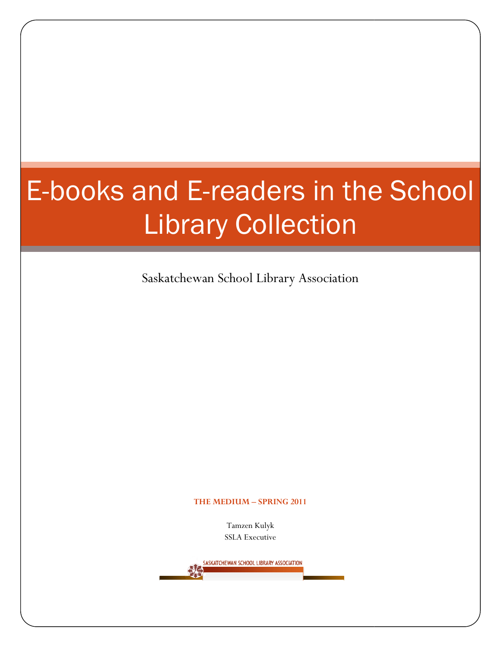# E-books and E books and E-readers in the School Library Collection Library

Saskatchewan School Library Association

#### THE MEDIUM – SPRING 2011

Tamzen Kulyk SSLA Executive

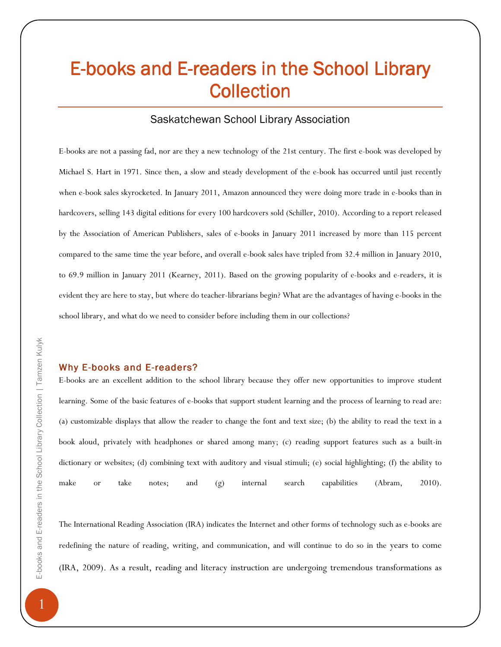# E-books and E-readers in the School Library **Collection**

#### Saskatchewan School Library Association

E-books are not a passing fad, nor are they a new technology of the 21st century. The first e-book was developed by Michael S. Hart in 1971. Since then, a slow and steady development of the e-book has occurred until just recently when e-book sales skyrocketed. In January 2011, Amazon announced they were doing more trade in e-books than in hardcovers, selling 143 digital editions for every 100 hardcovers sold (Schiller, 2010). According to a report released by the Association of American Publishers, sales of e-books in January 2011 increased by more than 115 percent compared to the same time the year before, and overall e-book sales have tripled from 32.4 million in January 2010, to 69.9 million in January 2011 (Kearney, 2011). Based on the growing popularity of e-books and e-readers, it is evident they are here to stay, but where do teacher-librarians begin? What are the advantages of having e-books in the school library, and what do we need to consider before including them in our collections?

#### Why E-books and E-readers?

E-books are an excellent addition to the school library because they offer new opportunities to improve student learning. Some of the basic features of e-books that support student learning and the process of learning to read are: (a) customizable displays that allow the reader to change the font and text size; (b) the ability to read the text in a book aloud, privately with headphones or shared among many; (c) reading support features such as a built-in dictionary or websites; (d) combining text with auditory and visual stimuli; (e) social highlighting; (f) the ability to make or take notes; and (g) internal search capabilities (Abram, 2010).

The International Reading Association (IRA) indicates the Internet and other forms of technology such as e-books are redefining the nature of reading, writing, and communication, and will continue to do so in the years to come (IRA, 2009). As a result, reading and literacy instruction are undergoing tremendous transformations as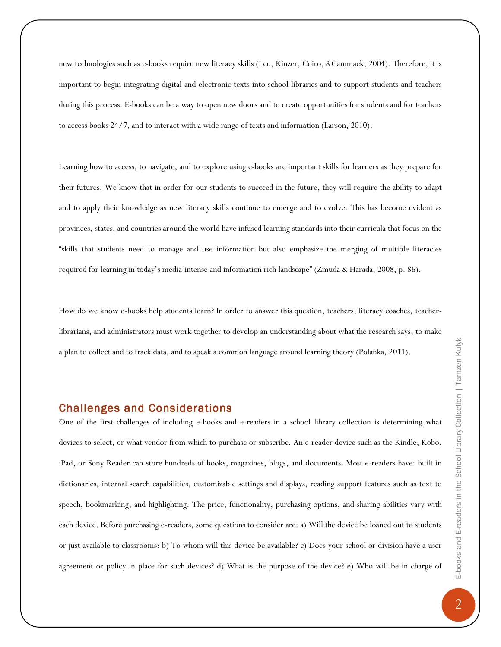new technologies such as e-books require new literacy skills (Leu, Kinzer, Coiro, &Cammack, 2004). Therefore, it is important to begin integrating digital and electronic texts into school libraries and to support students and teachers during this process. E-books can be a way to open new doors and to create opportunities for students and for teachers to access books 24/7, and to interact with a wide range of texts and information (Larson, 2010).

Learning how to access, to navigate, and to explore using e-books are important skills for learners as they prepare for their futures. We know that in order for our students to succeed in the future, they will require the ability to adapt and to apply their knowledge as new literacy skills continue to emerge and to evolve. This has become evident as provinces, states, and countries around the world have infused learning standards into their curricula that focus on the "skills that students need to manage and use information but also emphasize the merging of multiple literacies required for learning in today's media-intense and information rich landscape" (Zmuda & Harada, 2008, p. 86).

How do we know e-books help students learn? In order to answer this question, teachers, literacy coaches, teacherlibrarians, and administrators must work together to develop an understanding about what the research says, to make a plan to collect and to track data, and to speak a common language around learning theory (Polanka, 2011).

# Challenges and Considerations

One of the first challenges of including e-books and e-readers in a school library collection is determining what devices to select, or what vendor from which to purchase or subscribe. An e-reader device such as the Kindle, Kobo, iPad, or Sony Reader can store hundreds of books, magazines, blogs, and documents. Most e-readers have: built in dictionaries, internal search capabilities, customizable settings and displays, reading support features such as text to speech, bookmarking, and highlighting. The price, functionality, purchasing options, and sharing abilities vary with each device. Before purchasing e-readers, some questions to consider are: a) Will the device be loaned out to students or just available to classrooms? b) To whom will this device be available? c) Does your school or division have a user agreement or policy in place for such devices? d) What is the purpose of the device? e) Who will be in charge of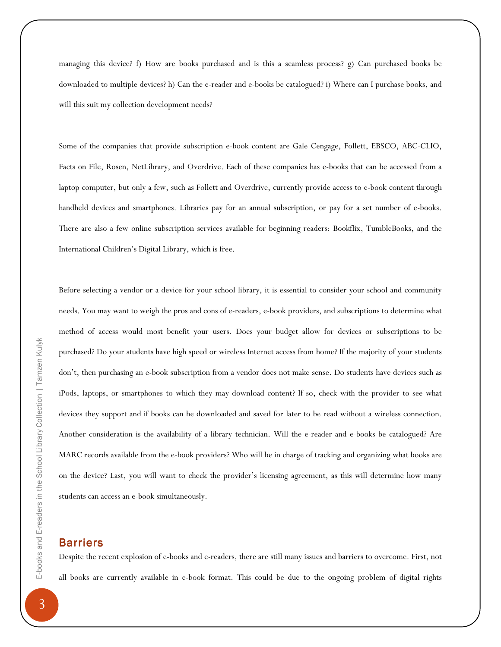managing this device? f) How are books purchased and is this a seamless process? g) Can purchased books be downloaded to multiple devices? h) Can the e-reader and e-books be catalogued? i) Where can I purchase books, and will this suit my collection development needs?

Some of the companies that provide subscription e-book content are Gale Cengage, Follett, EBSCO, ABC-CLIO, Facts on File, Rosen, NetLibrary, and Overdrive. Each of these companies has e-books that can be accessed from a laptop computer, but only a few, such as Follett and Overdrive, currently provide access to e-book content through handheld devices and smartphones. Libraries pay for an annual subscription, or pay for a set number of e-books. There are also a few online subscription services available for beginning readers: Bookflix, TumbleBooks, and the International Children's Digital Library, which is free.

Before selecting a vendor or a device for your school library, it is essential to consider your school and community needs. You may want to weigh the pros and cons of e-readers, e-book providers, and subscriptions to determine what method of access would most benefit your users. Does your budget allow for devices or subscriptions to be purchased? Do your students have high speed or wireless Internet access from home? If the majority of your students don't, then purchasing an e-book subscription from a vendor does not make sense. Do students have devices such as iPods, laptops, or smartphones to which they may download content? If so, check with the provider to see what devices they support and if books can be downloaded and saved for later to be read without a wireless connection. Another consideration is the availability of a library technician. Will the e-reader and e-books be catalogued? Are MARC records available from the e-book providers? Who will be in charge of tracking and organizing what books are on the device? Last, you will want to check the provider's licensing agreement, as this will determine how many students can access an e-book simultaneously.

#### Barriers

Despite the recent explosion of e-books and e-readers, there are still many issues and barriers to overcome. First, not all books are currently available in e-book format. This could be due to the ongoing problem of digital rights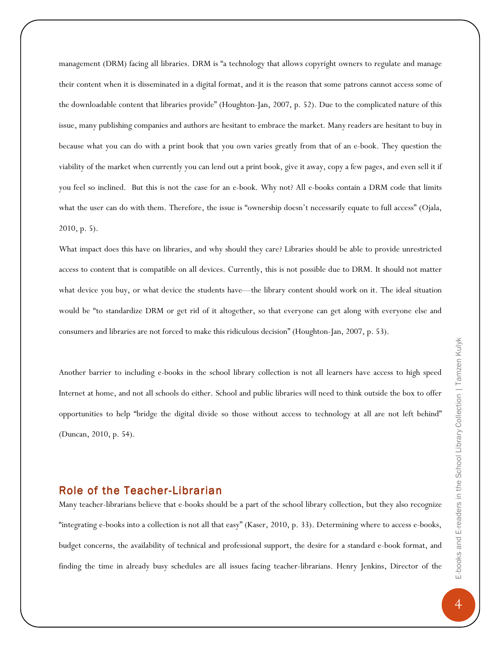management (DRM) facing all libraries. DRM is "a technology that allows copyright owners to regulate and manage their content when it is disseminated in a digital format, and it is the reason that some patrons cannot access some of the downloadable content that libraries provide" (Houghton-Jan, 2007, p. 52). Due to the complicated nature of this issue, many publishing companies and authors are hesitant to embrace the market. Many readers are hesitant to buy in because what you can do with a print book that you own varies greatly from that of an e-book. They question the viability of the market when currently you can lend out a print book, give it away, copy a few pages, and even sell it if you feel so inclined. But this is not the case for an e-book. Why not? All e-books contain a DRM code that limits what the user can do with them. Therefore, the issue is "ownership doesn't necessarily equate to full access" (Ojala, 2010, p. 5).

What impact does this have on libraries, and why should they care? Libraries should be able to provide unrestricted access to content that is compatible on all devices. Currently, this is not possible due to DRM. It should not matter what device you buy, or what device the students have—the library content should work on it. The ideal situation would be "to standardize DRM or get rid of it altogether, so that everyone can get along with everyone else and consumers and libraries are not forced to make this ridiculous decision" (Houghton-Jan, 2007, p. 53).

Another barrier to including e-books in the school library collection is not all learners have access to high speed Internet at home, and not all schools do either. School and public libraries will need to think outside the box to offer opportunities to help "bridge the digital divide so those without access to technology at all are not left behind" (Duncan, 2010, p. 54).

# Role of the Teacher-Librarian

Many teacher-librarians believe that e-books should be a part of the school library collection, but they also recognize "integrating e-books into a collection is not all that easy" (Kaser, 2010, p. 33). Determining where to access e-books, budget concerns, the availability of technical and professional support, the desire for a standard e-book format, and finding the time in already busy schedules are all issues facing teacher-librarians. Henry Jenkins, Director of the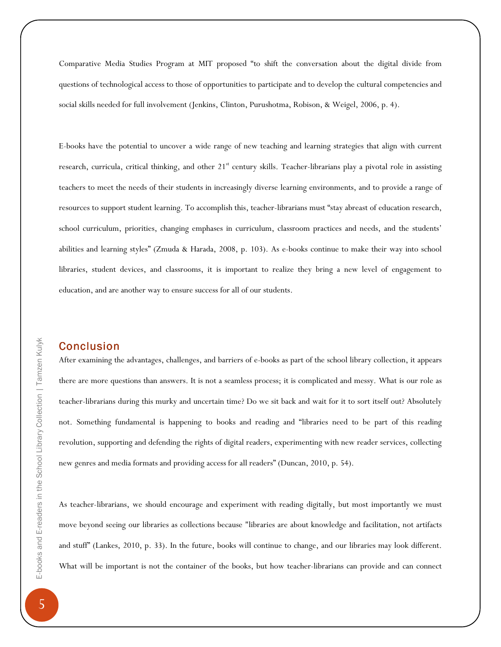Comparative Media Studies Program at MIT proposed "to shift the conversation about the digital divide from questions of technological access to those of opportunities to participate and to develop the cultural competencies and social skills needed for full involvement (Jenkins, Clinton, Purushotma, Robison, & Weigel, 2006, p. 4).

E-books have the potential to uncover a wide range of new teaching and learning strategies that align with current research, curricula, critical thinking, and other 21<sup>st</sup> century skills. Teacher-librarians play a pivotal role in assisting teachers to meet the needs of their students in increasingly diverse learning environments, and to provide a range of resources to support student learning. To accomplish this, teacher-librarians must "stay abreast of education research, school curriculum, priorities, changing emphases in curriculum, classroom practices and needs, and the students' abilities and learning styles" (Zmuda & Harada, 2008, p. 103). As e-books continue to make their way into school libraries, student devices, and classrooms, it is important to realize they bring a new level of engagement to education, and are another way to ensure success for all of our students.

# **Conclusion**

After examining the advantages, challenges, and barriers of e-books as part of the school library collection, it appears there are more questions than answers. It is not a seamless process; it is complicated and messy. What is our role as teacher-librarians during this murky and uncertain time? Do we sit back and wait for it to sort itself out? Absolutely not. Something fundamental is happening to books and reading and "libraries need to be part of this reading revolution, supporting and defending the rights of digital readers, experimenting with new reader services, collecting new genres and media formats and providing access for all readers" (Duncan, 2010, p. 54).

As teacher-librarians, we should encourage and experiment with reading digitally, but most importantly we must move beyond seeing our libraries as collections because "libraries are about knowledge and facilitation, not artifacts and stuff" (Lankes, 2010, p. 33). In the future, books will continue to change, and our libraries may look different. What will be important is not the container of the books, but how teacher-librarians can provide and can connect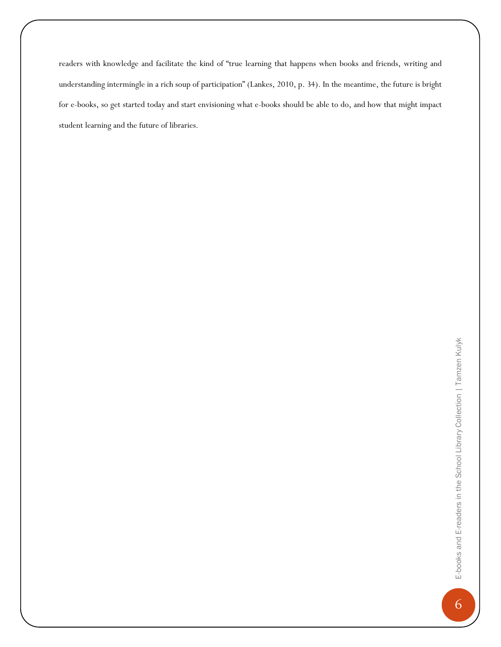readers with knowledge and facilitate the kind of "true learning that happens when books and friends, writing and understanding intermingle in a rich soup of participation" (Lankes, 2010, p. 34). In the meantime, the future is bright for e-books, so get started today and start envisioning what e-books should be able to do, and how that might impact student learning and the future of libraries.